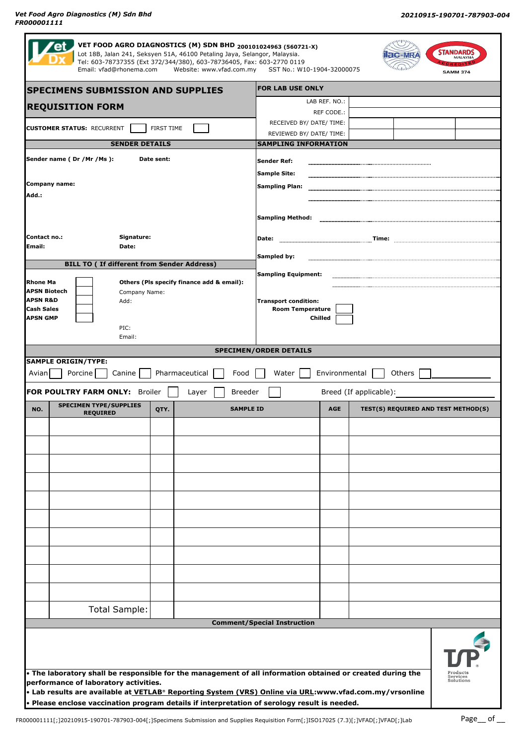|                                                                          | <b>SPECIMENS SUBMISSION AND SUPPLIES</b>                           |                |                  | <b>FOR LAB USE ONLY</b>                                |               |                        |                                     |  |
|--------------------------------------------------------------------------|--------------------------------------------------------------------|----------------|------------------|--------------------------------------------------------|---------------|------------------------|-------------------------------------|--|
| <b>REQUISITION FORM</b>                                                  |                                                                    |                |                  | LAB REF. NO.:                                          |               |                        |                                     |  |
| <b>CUSTOMER STATUS: RECURRENT</b><br>FIRST TIME<br><b>SENDER DETAILS</b> |                                                                    |                |                  | RECEIVED BY/ DATE/ TIME:                               | REF CODE.:    |                        |                                     |  |
|                                                                          |                                                                    |                |                  | REVIEWED BY/ DATE/ TIME:                               |               |                        |                                     |  |
|                                                                          |                                                                    |                |                  | <b>SAMPLING INFORMATION</b>                            |               |                        |                                     |  |
| Sender name (Dr /Mr /Ms):                                                |                                                                    | Date sent:     |                  | <b>Sender Ref:</b>                                     |               |                        |                                     |  |
| <b>Company name:</b>                                                     |                                                                    |                |                  | <b>Sample Site:</b><br><b>Sampling Plan:</b>           |               |                        |                                     |  |
| Add.:                                                                    |                                                                    |                |                  |                                                        |               |                        |                                     |  |
|                                                                          |                                                                    |                |                  | <b>Sampling Method:</b>                                |               |                        |                                     |  |
|                                                                          |                                                                    |                |                  |                                                        |               |                        |                                     |  |
| Contact no.:<br>Signature:<br>Email:<br>Date:                            |                                                                    |                | Date:            |                                                        |               |                        |                                     |  |
| <b>BILL TO ( If different from Sender Address)</b>                       |                                                                    |                |                  | Sampled by:                                            |               |                        |                                     |  |
| <b>Rhone Ma</b>                                                          |                                                                    |                |                  | <b>Sampling Equipment:</b>                             |               |                        |                                     |  |
| <b>APSN Biotech</b>                                                      | Others (Pls specify finance add & email):<br>Company Name:<br>Add: |                |                  |                                                        |               |                        |                                     |  |
| <b>APSN R&amp;D</b><br><b>Cash Sales</b>                                 |                                                                    |                |                  | <b>Transport condition:</b><br><b>Room Temperature</b> |               |                        |                                     |  |
| <b>APSN GMP</b>                                                          | PIC:                                                               |                |                  |                                                        | Chilled       |                        |                                     |  |
|                                                                          | Email:                                                             |                |                  |                                                        |               |                        |                                     |  |
|                                                                          |                                                                    |                |                  |                                                        |               |                        |                                     |  |
|                                                                          |                                                                    |                |                  | <b>SPECIMEN/ORDER DETAILS</b>                          |               |                        |                                     |  |
|                                                                          |                                                                    |                | Food             |                                                        |               |                        |                                     |  |
| <b>SAMPLE ORIGIN/TYPE:</b><br>Avian                                      | Porcine<br>Canine                                                  | Pharmaceutical |                  | Water                                                  | Environmental | Others                 |                                     |  |
|                                                                          | FOR POULTRY FARM ONLY: Broiler<br><b>SPECIMEN TYPE/SUPPLIES</b>    | Layer          | <b>Breeder</b>   |                                                        |               | Breed (If applicable): |                                     |  |
| NO.                                                                      | <b>REQUIRED</b>                                                    | QTY.           | <b>SAMPLE ID</b> |                                                        | <b>AGE</b>    |                        | TEST(S) REQUIRED AND TEST METHOD(S) |  |
|                                                                          |                                                                    |                |                  |                                                        |               |                        |                                     |  |
|                                                                          |                                                                    |                |                  |                                                        |               |                        |                                     |  |
|                                                                          |                                                                    |                |                  |                                                        |               |                        |                                     |  |
|                                                                          |                                                                    |                |                  |                                                        |               |                        |                                     |  |
|                                                                          |                                                                    |                |                  |                                                        |               |                        |                                     |  |
|                                                                          |                                                                    |                |                  |                                                        |               |                        |                                     |  |
|                                                                          |                                                                    |                |                  |                                                        |               |                        |                                     |  |
|                                                                          |                                                                    |                |                  |                                                        |               |                        |                                     |  |
|                                                                          |                                                                    |                |                  |                                                        |               |                        |                                     |  |
|                                                                          |                                                                    |                |                  |                                                        |               |                        |                                     |  |
|                                                                          |                                                                    |                |                  |                                                        |               |                        |                                     |  |
|                                                                          | <b>Total Sample:</b>                                               |                |                  |                                                        |               |                        |                                     |  |